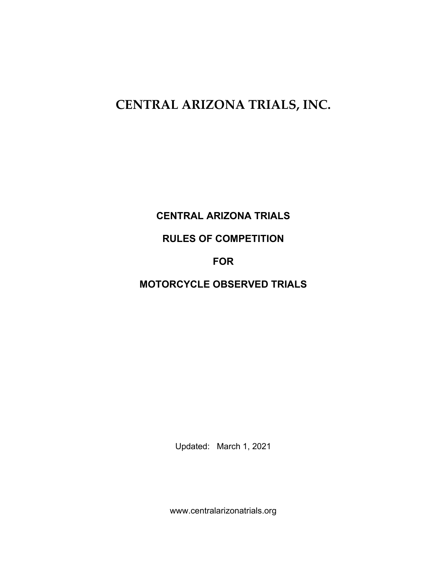# **CENTRAL ARIZONA TRIALS, INC.**

# **CENTRAL ARIZONA TRIALS**

# **RULES OF COMPETITION**

# **FOR**

**MOTORCYCLE OBSERVED TRIALS**

Updated: March 1, 2021

www.centralarizonatrials.org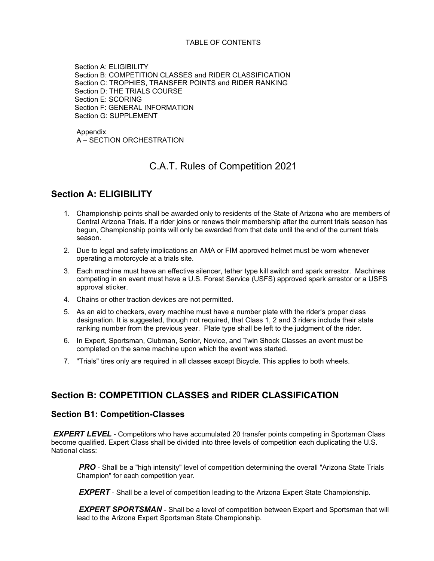#### TABLE OF CONTENTS

 Section A: ELIGIBILITY Section B: COMPETITION CLASSES and RIDER CLASSIFICATION Section C: TROPHIES, TRANSFER POINTS and RIDER RANKING Section D: THE TRIALS COURSE Section E: SCORING Section F: GENERAL INFORMATION Section G: SUPPLEMENT

Appendix A – SECTION ORCHESTRATION

### C.A.T. Rules of Competition 2021

### **Section A: ELIGIBILITY**

- 1. Championship points shall be awarded only to residents of the State of Arizona who are members of Central Arizona Trials. If a rider joins or renews their membership after the current trials season has begun, Championship points will only be awarded from that date until the end of the current trials season.
- 2. Due to legal and safety implications an AMA or FIM approved helmet must be worn whenever operating a motorcycle at a trials site.
- 3. Each machine must have an effective silencer, tether type kill switch and spark arrestor. Machines competing in an event must have a U.S. Forest Service (USFS) approved spark arrestor or a USFS approval sticker.
- 4. Chains or other traction devices are not permitted.
- 5. As an aid to checkers, every machine must have a number plate with the rider's proper class designation. It is suggested, though not required, that Class 1, 2 and 3 riders include their state ranking number from the previous year. Plate type shall be left to the judgment of the rider.
- 6. In Expert, Sportsman, Clubman, Senior, Novice, and Twin Shock Classes an event must be completed on the same machine upon which the event was started.
- 7. "Trials" tires only are required in all classes except Bicycle. This applies to both wheels.

#### **Section B: COMPETITION CLASSES and RIDER CLASSIFICATION**

#### **Section B1: Competition-Classes**

*EXPERT LEVEL* - Competitors who have accumulated 20 transfer points competing in Sportsman Class become qualified. Expert Class shall be divided into three levels of competition each duplicating the U.S. National class:

*PRO* - Shall be a "high intensity" level of competition determining the overall "Arizona State Trials" Champion" for each competition year.

*EXPERT* - Shall be a level of competition leading to the Arizona Expert State Championship.

**EXPERT SPORTSMAN** - Shall be a level of competition between Expert and Sportsman that will lead to the Arizona Expert Sportsman State Championship.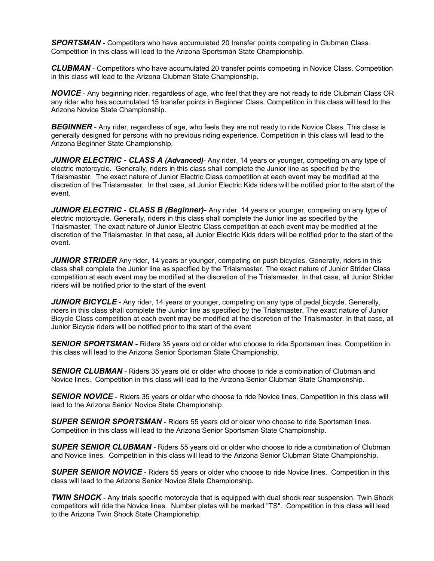**SPORTSMAN** - Competitors who have accumulated 20 transfer points competing in Clubman Class. Competition in this class will lead to the Arizona Sportsman State Championship.

*CLUBMAN* - Competitors who have accumulated 20 transfer points competing in Novice Class. Competition in this class will lead to the Arizona Clubman State Championship.

*NOVICE* - Any beginning rider, regardless of age, who feel that they are not ready to ride Clubman Class OR any rider who has accumulated 15 transfer points in Beginner Class. Competition in this class will lead to the Arizona Novice State Championship.

*BEGINNER* - Any rider, regardless of age, who feels they are not ready to ride Novice Class. This class is generally designed for persons with no previous riding experience. Competition in this class will lead to the Arizona Beginner State Championship.

*JUNIOR ELECTRIC - CLASS A (Advanced)*- Any rider, 14 years or younger, competing on any type of electric motorcycle. Generally, riders in this class shall complete the Junior line as specified by the Trialsmaster. The exact nature of Junior Electric Class competition at each event may be modified at the discretion of the Trialsmaster. In that case, all Junior Electric Kids riders will be notified prior to the start of the event.

*JUNIOR ELECTRIC - CLASS B (Beginner)-* Any rider, 14 years or younger, competing on any type of electric motorcycle. Generally, riders in this class shall complete the Junior line as specified by the Trialsmaster. The exact nature of Junior Electric Class competition at each event may be modified at the discretion of the Trialsmaster. In that case, all Junior Electric Kids riders will be notified prior to the start of the event.

**JUNIOR STRIDER** Any rider, 14 years or younger, competing on push bicycles. Generally, riders in this class shall complete the Junior line as specified by the Trialsmaster. The exact nature of Junior Strider Class competition at each event may be modified at the discretion of the Trialsmaster. In that case, all Junior Strider riders will be notified prior to the start of the event

**JUNIOR BICYCLE** - Any rider, 14 years or younger, competing on any type of pedal bicycle. Generally, riders in this class shall complete the Junior line as specified by the Trialsmaster. The exact nature of Junior Bicycle Class competition at each event may be modified at the discretion of the Trialsmaster. In that case, all Junior Bicycle riders will be notified prior to the start of the event

*SENIOR SPORTSMAN* **-** Riders 35 years old or older who choose to ride Sportsman lines. Competition in this class will lead to the Arizona Senior Sportsman State Championship.

*SENIOR CLUBMAN* - Riders 35 years old or older who choose to ride a combination of Clubman and Novice lines. Competition in this class will lead to the Arizona Senior Clubman State Championship.

**SENIOR NOVICE** - Riders 35 years or older who choose to ride Novice lines. Competition in this class will lead to the Arizona Senior Novice State Championship.

*SUPER SENIOR SPORTSMAN* - Riders 55 years old or older who choose to ride Sportsman lines. Competition in this class will lead to the Arizona Senior Sportsman State Championship.

*SUPER SENIOR CLUBMAN* - Riders 55 years old or older who choose to ride a combination of Clubman and Novice lines. Competition in this class will lead to the Arizona Senior Clubman State Championship.

**SUPER SENIOR NOVICE** - Riders 55 years or older who choose to ride Novice lines. Competition in this class will lead to the Arizona Senior Novice State Championship.

*TWIN SHOCK* - Any trials specific motorcycle that is equipped with dual shock rear suspension. Twin Shock competitors will ride the Novice lines. Number plates will be marked "TS". Competition in this class will lead to the Arizona Twin Shock State Championship.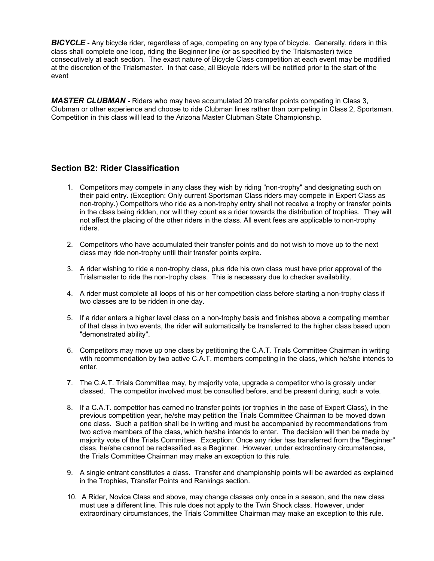**BICYCLE** - Any bicycle rider, regardless of age, competing on any type of bicycle. Generally, riders in this class shall complete one loop, riding the Beginner line (or as specified by the Trialsmaster) twice consecutively at each section. The exact nature of Bicycle Class competition at each event may be modified at the discretion of the Trialsmaster. In that case, all Bicycle riders will be notified prior to the start of the event

*MASTER CLUBMAN* - Riders who may have accumulated 20 transfer points competing in Class 3, Clubman or other experience and choose to ride Clubman lines rather than competing in Class 2, Sportsman. Competition in this class will lead to the Arizona Master Clubman State Championship.

#### **Section B2: Rider Classification**

- 1. Competitors may compete in any class they wish by riding "non-trophy" and designating such on their paid entry. (Exception: Only current Sportsman Class riders may compete in Expert Class as non-trophy.) Competitors who ride as a non-trophy entry shall not receive a trophy or transfer points in the class being ridden, nor will they count as a rider towards the distribution of trophies. They will not affect the placing of the other riders in the class. All event fees are applicable to non-trophy riders.
- 2. Competitors who have accumulated their transfer points and do not wish to move up to the next class may ride non-trophy until their transfer points expire.
- 3. A rider wishing to ride a non-trophy class, plus ride his own class must have prior approval of the Trialsmaster to ride the non-trophy class. This is necessary due to checker availability.
- 4. A rider must complete all loops of his or her competition class before starting a non-trophy class if two classes are to be ridden in one day.
- 5. If a rider enters a higher level class on a non-trophy basis and finishes above a competing member of that class in two events, the rider will automatically be transferred to the higher class based upon "demonstrated ability".
- 6. Competitors may move up one class by petitioning the C.A.T. Trials Committee Chairman in writing with recommendation by two active C.A.T. members competing in the class, which he/she intends to enter.
- 7. The C.A.T. Trials Committee may, by majority vote, upgrade a competitor who is grossly under classed. The competitor involved must be consulted before, and be present during, such a vote.
- 8. If a C.A.T. competitor has earned no transfer points (or trophies in the case of Expert Class), in the previous competition year, he/she may petition the Trials Committee Chairman to be moved down one class. Such a petition shall be in writing and must be accompanied by recommendations from two active members of the class, which he/she intends to enter. The decision will then be made by majority vote of the Trials Committee. Exception: Once any rider has transferred from the "Beginner" class, he/she cannot be reclassified as a Beginner. However, under extraordinary circumstances, the Trials Committee Chairman may make an exception to this rule.
- 9. A single entrant constitutes a class. Transfer and championship points will be awarded as explained in the Trophies, Transfer Points and Rankings section.
- 10. A Rider, Novice Class and above, may change classes only once in a season, and the new class must use a different line. This rule does not apply to the Twin Shock class. However, under extraordinary circumstances, the Trials Committee Chairman may make an exception to this rule.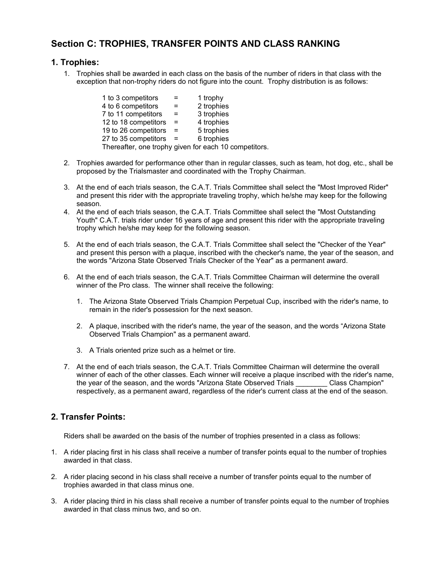### **Section C: TROPHIES, TRANSFER POINTS AND CLASS RANKING**

#### **1. Trophies:**

1. Trophies shall be awarded in each class on the basis of the number of riders in that class with the exception that non-trophy riders do not figure into the count. Trophy distribution is as follows:

| $=$ | 1 trophy                                              |
|-----|-------------------------------------------------------|
|     | 2 trophies                                            |
| $=$ | 3 trophies                                            |
|     | 4 trophies                                            |
| $=$ | 5 trophies                                            |
|     | 6 trophies                                            |
|     | Thereafter, one trophy given for each 10 competitors. |
|     | $=$<br>$=$                                            |

- 2. Trophies awarded for performance other than in regular classes, such as team, hot dog, etc., shall be proposed by the Trialsmaster and coordinated with the Trophy Chairman.
- 3. At the end of each trials season, the C.A.T. Trials Committee shall select the "Most Improved Rider" and present this rider with the appropriate traveling trophy, which he/she may keep for the following season.
- 4. At the end of each trials season, the C.A.T. Trials Committee shall select the "Most Outstanding Youth" C.A.T. trials rider under 16 years of age and present this rider with the appropriate traveling trophy which he/she may keep for the following season.
- 5. At the end of each trials season, the C.A.T. Trials Committee shall select the "Checker of the Year" and present this person with a plaque, inscribed with the checker's name, the year of the season, and the words "Arizona State Observed Trials Checker of the Year" as a permanent award.
- 6. At the end of each trials season, the C.A.T. Trials Committee Chairman will determine the overall winner of the Pro class. The winner shall receive the following:
	- 1. The Arizona State Observed Trials Champion Perpetual Cup, inscribed with the rider's name, to remain in the rider's possession for the next season.
	- 2. A plaque, inscribed with the rider's name, the year of the season, and the words "Arizona State Observed Trials Champion" as a permanent award.
	- 3. A Trials oriented prize such as a helmet or tire.
- 7. At the end of each trials season, the C.A.T. Trials Committee Chairman will determine the overall winner of each of the other classes. Each winner will receive a plaque inscribed with the rider's name, the year of the season, and the words "Arizona State Observed Trials \_\_\_\_\_\_\_\_ Class Champion" respectively, as a permanent award, regardless of the rider's current class at the end of the season.

#### **2. Transfer Points:**

Riders shall be awarded on the basis of the number of trophies presented in a class as follows:

- 1. A rider placing first in his class shall receive a number of transfer points equal to the number of trophies awarded in that class.
- 2. A rider placing second in his class shall receive a number of transfer points equal to the number of trophies awarded in that class minus one.
- 3. A rider placing third in his class shall receive a number of transfer points equal to the number of trophies awarded in that class minus two, and so on.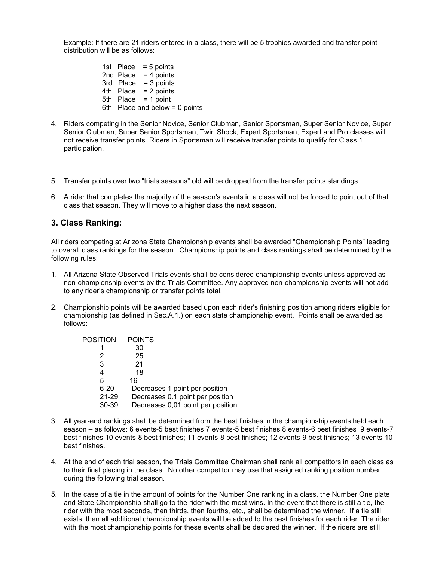Example: If there are 21 riders entered in a class, there will be 5 trophies awarded and transfer point distribution will be as follows:

> 1st Place = 5 points 2nd Place = 4 points 3rd  $Place = 3 points$ 4th Place = 2 points 5th Place = 1 point 6th Place and below = 0 points

- 4. Riders competing in the Senior Novice, Senior Clubman, Senior Sportsman, Super Senior Novice, Super Senior Clubman, Super Senior Sportsman, Twin Shock, Expert Sportsman, Expert and Pro classes will not receive transfer points. Riders in Sportsman will receive transfer points to qualify for Class 1 participation.
- 5. Transfer points over two "trials seasons" old will be dropped from the transfer points standings.
- 6. A rider that completes the majority of the season's events in a class will not be forced to point out of that class that season. They will move to a higher class the next season.

#### **3. Class Ranking:**

All riders competing at Arizona State Championship events shall be awarded "Championship Points" leading to overall class rankings for the season. Championship points and class rankings shall be determined by the following rules:

- 1. All Arizona State Observed Trials events shall be considered championship events unless approved as non-championship events by the Trials Committee. Any approved non-championship events will not add to any rider's championship or transfer points total.
- 2. Championship points will be awarded based upon each rider's finishing position among riders eligible for championship (as defined in Sec.A.1.) on each state championship event. Points shall be awarded as follows:

| <b>POSITION</b> | <b>POINTS</b>                     |
|-----------------|-----------------------------------|
|                 | 30                                |
| 2               | 25                                |
| 3               | 21                                |
| 4               | 18                                |
| 5               | 16                                |
| $6 - 20$        | Decreases 1 point per position    |
| 21-29           | Decreases 0.1 point per position  |
| 30-39           | Decreases 0,01 point per position |

- 3. All year-end rankings shall be determined from the best finishes in the championship events held each season **–** as follows: 6 events-5 best finishes 7 events-5 best finishes 8 events-6 best finishes 9 events-7 best finishes 10 events-8 best finishes; 11 events-8 best finishes; 12 events-9 best finishes; 13 events-10 best finishes.
- 4. At the end of each trial season, the Trials Committee Chairman shall rank all competitors in each class as to their final placing in the class. No other competitor may use that assigned ranking position number during the following trial season.
- 5. In the case of a tie in the amount of points for the Number One ranking in a class, the Number One plate and State Championship shall go to the rider with the most wins. In the event that there is still a tie, the rider with the most seconds, then thirds, then fourths, etc., shall be determined the winner. If a tie still exists, then all additional championship events will be added to the best finishes for each rider. The rider with the most championship points for these events shall be declared the winner. If the riders are still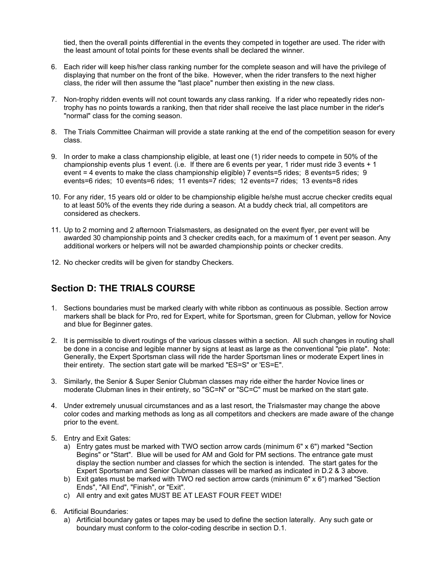tied, then the overall points differential in the events they competed in together are used. The rider with the least amount of total points for these events shall be declared the winner.

- 6. Each rider will keep his/her class ranking number for the complete season and will have the privilege of displaying that number on the front of the bike. However, when the rider transfers to the next higher class, the rider will then assume the "last place" number then existing in the new class.
- 7. Non-trophy ridden events will not count towards any class ranking. If a rider who repeatedly rides nontrophy has no points towards a ranking, then that rider shall receive the last place number in the rider's "normal" class for the coming season.
- 8. The Trials Committee Chairman will provide a state ranking at the end of the competition season for every class.
- 9. In order to make a class championship eligible, at least one (1) rider needs to compete in 50% of the championship events plus 1 event. (i.e. If there are 6 events per year, 1 rider must ride 3 events + 1 event = 4 events to make the class championship eligible) 7 events=5 rides; 8 events=5 rides; 9 events=6 rides; 10 events=6 rides; 11 events=7 rides; 12 events=7 rides; 13 events=8 rides
- 10. For any rider, 15 years old or older to be championship eligible he/she must accrue checker credits equal to at least 50% of the events they ride during a season. At a buddy check trial, all competitors are considered as checkers.
- 11. Up to 2 morning and 2 afternoon Trialsmasters, as designated on the event flyer, per event will be awarded 30 championship points and 3 checker credits each, for a maximum of 1 event per season. Any additional workers or helpers will not be awarded championship points or checker credits.
- 12. No checker credits will be given for standby Checkers.

### **Section D: THE TRIALS COURSE**

- 1. Sections boundaries must be marked clearly with white ribbon as continuous as possible. Section arrow markers shall be black for Pro, red for Expert, white for Sportsman, green for Clubman, yellow for Novice and blue for Beginner gates.
- 2. It is permissible to divert routings of the various classes within a section. All such changes in routing shall be done in a concise and legible manner by signs at least as large as the conventional "pie plate". Note: Generally, the Expert Sportsman class will ride the harder Sportsman lines or moderate Expert lines in their entirety. The section start gate will be marked "ES=S" or 'ES=E".
- 3. Similarly, the Senior & Super Senior Clubman classes may ride either the harder Novice lines or moderate Clubman lines in their entirety, so "SC=N" or "SC=C" must be marked on the start gate.
- 4. Under extremely unusual circumstances and as a last resort, the Trialsmaster may change the above color codes and marking methods as long as all competitors and checkers are made aware of the change prior to the event.
- 5. Entry and Exit Gates:
	- a) Entry gates must be marked with TWO section arrow cards (minimum 6" x 6") marked "Section Begins" or "Start". Blue will be used for AM and Gold for PM sections. The entrance gate must display the section number and classes for which the section is intended. The start gates for the Expert Sportsman and Senior Clubman classes will be marked as indicated in D.2 & 3 above.
	- b) Exit gates must be marked with TWO red section arrow cards (minimum 6" x 6") marked "Section Ends", "All End", "Finish", or "Exit".
	- c) All entry and exit gates MUST BE AT LEAST FOUR FEET WIDE!
- 6. Artificial Boundaries:
	- a) Artificial boundary gates or tapes may be used to define the section laterally. Any such gate or boundary must conform to the color-coding describe in section D.1.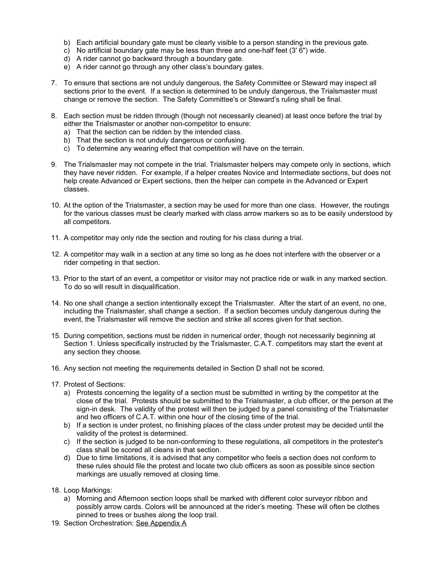- b) Each artificial boundary gate must be clearly visible to a person standing in the previous gate.
- c) No artificial boundary gate may be less than three and one-half feet (3' 6") wide.
- d) A rider cannot go backward through a boundary gate.
- e) A rider cannot go through any other class's boundary gates.
- 7. To ensure that sections are not unduly dangerous, the Safety Committee or Steward may inspect all sections prior to the event. If a section is determined to be unduly dangerous, the Trialsmaster must change or remove the section. The Safety Committee's or Steward's ruling shall be final.
- 8. Each section must be ridden through (though not necessarily cleaned) at least once before the trial by either the Trialsmaster or another non-competitor to ensure:
	- a) That the section can be ridden by the intended class.
	- b) That the section is not unduly dangerous or confusing.
	- c) To determine any wearing effect that competition will have on the terrain.
- 9. The Trialsmaster may not compete in the trial. Trialsmaster helpers may compete only in sections, which they have never ridden. For example, if a helper creates Novice and Intermediate sections, but does not help create Advanced or Expert sections, then the helper can compete in the Advanced or Expert classes.
- 10. At the option of the Trialsmaster, a section may be used for more than one class. However, the routings for the various classes must be clearly marked with class arrow markers so as to be easily understood by all competitors.
- 11. A competitor may only ride the section and routing for his class during a trial.
- 12. A competitor may walk in a section at any time so long as he does not interfere with the observer or a rider competing in that section.
- 13. Prior to the start of an event, a competitor or visitor may not practice ride or walk in any marked section. To do so will result in disqualification.
- 14. No one shall change a section intentionally except the Trialsmaster. After the start of an event, no one, including the Trialsmaster, shall change a section. If a section becomes unduly dangerous during the event, the Trialsmaster will remove the section and strike all scores given for that section.
- 15. During competition, sections must be ridden in numerical order, though not necessarily beginning at Section 1. Unless specifically instructed by the Trialsmaster, C.A.T. competitors may start the event at any section they choose.
- 16. Any section not meeting the requirements detailed in Section D shall not be scored.
- 17. Protest of Sections:
	- a) Protests concerning the legality of a section must be submitted in writing by the competitor at the close of the trial. Protests should be submitted to the Trialsmaster, a club officer, or the person at the sign-in desk. The validity of the protest will then be judged by a panel consisting of the Trialsmaster and two officers of C.A.T. within one hour of the closing time of the trial.
	- b) If a section is under protest, no finishing places of the class under protest may be decided until the validity of the protest is determined.
	- c) If the section is judged to be non-conforming to these regulations, all competitors in the protester's class shall be scored all cleans in that section.
	- d) Due to time limitations, it is advised that any competitor who feels a section does not conform to these rules should file the protest and locate two club officers as soon as possible since section markings are usually removed at closing time.
- 18. Loop Markings:
	- a) Morning and Afternoon section loops shall be marked with different color surveyor ribbon and possibly arrow cards. Colors will be announced at the rider's meeting. These will often be clothes pinned to trees or bushes along the loop trail.
- 19. Section Orchestration: See Appendix A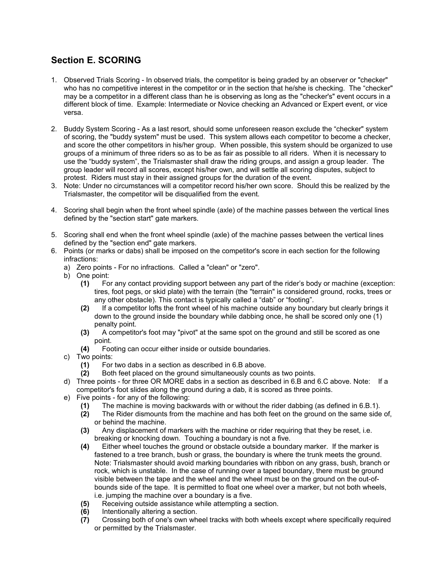### **Section E. SCORING**

- 1. Observed Trials Scoring In observed trials, the competitor is being graded by an observer or "checker" who has no competitive interest in the competitor or in the section that he/she is checking. The "checker" may be a competitor in a different class than he is observing as long as the "checker's" event occurs in a different block of time. Example: Intermediate or Novice checking an Advanced or Expert event, or vice versa.
- 2. Buddy System Scoring As a last resort, should some unforeseen reason exclude the "checker" system of scoring, the "buddy system" must be used. This system allows each competitor to become a checker, and score the other competitors in his/her group. When possible, this system should be organized to use groups of a minimum of three riders so as to be as fair as possible to all riders. When it is necessary to use the "buddy system", the Trialsmaster shall draw the riding groups, and assign a group leader. The group leader will record all scores, except his/her own, and will settle all scoring disputes, subject to protest. Riders must stay in their assigned groups for the duration of the event.
- 3. Note: Under no circumstances will a competitor record his/her own score. Should this be realized by the Trialsmaster, the competitor will be disqualified from the event.
- 4. Scoring shall begin when the front wheel spindle (axle) of the machine passes between the vertical lines defined by the "section start" gate markers.
- 5. Scoring shall end when the front wheel spindle (axle) of the machine passes between the vertical lines defined by the "section end" gate markers.
- 6. Points (or marks or dabs) shall be imposed on the competitor's score in each section for the following infractions:
	- a) Zero points For no infractions. Called a "clean" or "zero".
	- b) One point:
		- **(1)** For any contact providing support between any part of the rider's body or machine (exception: tires, foot pegs, or skid plate) with the terrain (the "terrain" is considered ground, rocks, trees or any other obstacle). This contact is typically called a "dab" or "footing".
		- **(2)** If a competitor lofts the front wheel of his machine outside any boundary but clearly brings it down to the ground inside the boundary while dabbing once, he shall be scored only one (1) penalty point.
		- **(3)** A competitor's foot may "pivot" at the same spot on the ground and still be scored as one point.
		- **(4)** Footing can occur either inside or outside boundaries.
	- c) Two points:
		- **(1)** For two dabs in a section as described in 6.B above.
		- **(2)** Both feet placed on the ground simultaneously counts as two points.
	- d) Three points for three OR MORE dabs in a section as described in 6.B and 6.C above. Note: If a competitor's foot slides along the ground during a dab, it is scored as three points.
	- e) Five points for any of the following:
		- **(1)** The machine is moving backwards with or without the rider dabbing (as defined in 6.B.1).
		- **(2)** The Rider dismounts from the machine and has both feet on the ground on the same side of, or behind the machine.
		- **(3)** Any displacement of markers with the machine or rider requiring that they be reset, i.e. breaking or knocking down. Touching a boundary is not a five.
		- **(4)** Either wheel touches the ground or obstacle outside a boundary marker. If the marker is fastened to a tree branch, bush or grass, the boundary is where the trunk meets the ground. Note: Trialsmaster should avoid marking boundaries with ribbon on any grass, bush, branch or rock, which is unstable. In the case of running over a taped boundary, there must be ground visible between the tape and the wheel and the wheel must be on the ground on the out-ofbounds side of the tape. It is permitted to float one wheel over a marker, but not both wheels, i.e. jumping the machine over a boundary is a five.
		- **(5)** Receiving outside assistance while attempting a section.
		- **(6)** Intentionally altering a section.
		- **(7)** Crossing both of one's own wheel tracks with both wheels except where specifically required or permitted by the Trialsmaster.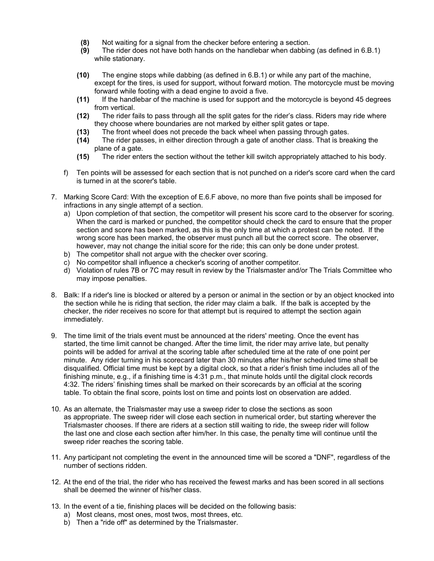- **(8)** Not waiting for a signal from the checker before entering a section.
- **(9)** The rider does not have both hands on the handlebar when dabbing (as defined in 6.B.1) while stationary.
- **(10)** The engine stops while dabbing (as defined in 6.B.1) or while any part of the machine, except for the tires, is used for support, without forward motion. The motorcycle must be moving forward while footing with a dead engine to avoid a five.
- **(11)** If the handlebar of the machine is used for support and the motorcycle is beyond 45 degrees from vertical.
- **(12)** The rider fails to pass through all the split gates for the rider's class. Riders may ride where they choose where boundaries are not marked by either split gates or tape.
- **(13)** The front wheel does not precede the back wheel when passing through gates.
- **(14)** The rider passes, in either direction through a gate of another class. That is breaking the plane of a gate.
- **(15)** The rider enters the section without the tether kill switch appropriately attached to his body.
- f) Ten points will be assessed for each section that is not punched on a rider's score card when the card is turned in at the scorer's table.
- 7. Marking Score Card: With the exception of E.6.F above, no more than five points shall be imposed for infractions in any single attempt of a section.
	- a) Upon completion of that section, the competitor will present his score card to the observer for scoring. When the card is marked or punched, the competitor should check the card to ensure that the proper section and score has been marked, as this is the only time at which a protest can be noted. If the wrong score has been marked, the observer must punch all but the correct score. The observer, however, may not change the initial score for the ride; this can only be done under protest.
	- b) The competitor shall not argue with the checker over scoring.
	- c) No competitor shall influence a checker's scoring of another competitor.
	- d) Violation of rules 7B or 7C may result in review by the Trialsmaster and/or The Trials Committee who may impose penalties.
- 8. Balk: If a rider's line is blocked or altered by a person or animal in the section or by an object knocked into the section while he is riding that section, the rider may claim a balk. If the balk is accepted by the checker, the rider receives no score for that attempt but is required to attempt the section again immediately.
- 9. The time limit of the trials event must be announced at the riders' meeting. Once the event has started, the time limit cannot be changed. After the time limit, the rider may arrive late, but penalty points will be added for arrival at the scoring table after scheduled time at the rate of one point per minute. Any rider turning in his scorecard later than 30 minutes after his/her scheduled time shall be disqualified. Official time must be kept by a digital clock, so that a rider's finish time includes all of the finishing minute, e.g., if a finishing time is 4:31 p.m., that minute holds until the digital clock records 4:32. The riders' finishing times shall be marked on their scorecards by an official at the scoring table. To obtain the final score, points lost on time and points lost on observation are added.
- 10. As an alternate, the Trialsmaster may use a sweep rider to close the sections as soon as appropriate. The sweep rider will close each section in numerical order, but starting wherever the Trialsmaster chooses. If there are riders at a section still waiting to ride, the sweep rider will follow the last one and close each section after him/her. In this case, the penalty time will continue until the sweep rider reaches the scoring table.
- 11. Any participant not completing the event in the announced time will be scored a "DNF", regardless of the number of sections ridden.
- 12. At the end of the trial, the rider who has received the fewest marks and has been scored in all sections shall be deemed the winner of his/her class.
- 13. In the event of a tie, finishing places will be decided on the following basis:
	- a) Most cleans, most ones, most twos, most threes, etc.
	- b) Then a "ride off" as determined by the Trialsmaster.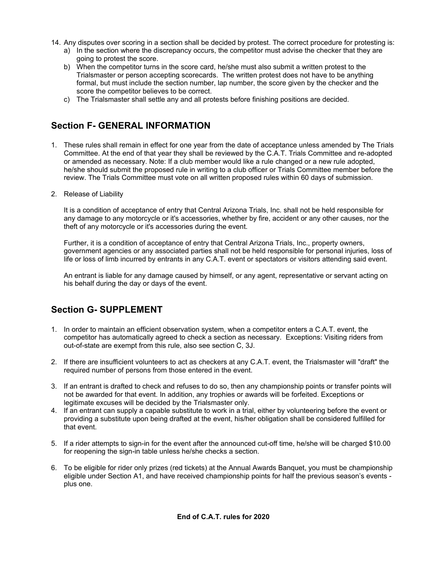- 14. Any disputes over scoring in a section shall be decided by protest. The correct procedure for protesting is:
	- a) In the section where the discrepancy occurs, the competitor must advise the checker that they are going to protest the score.
	- b) When the competitor turns in the score card, he/she must also submit a written protest to the Trialsmaster or person accepting scorecards. The written protest does not have to be anything formal, but must include the section number, lap number, the score given by the checker and the score the competitor believes to be correct.
	- c) The Trialsmaster shall settle any and all protests before finishing positions are decided.

### **Section F- GENERAL INFORMATION**

- 1. These rules shall remain in effect for one year from the date of acceptance unless amended by The Trials Committee. At the end of that year they shall be reviewed by the C.A.T. Trials Committee and re-adopted or amended as necessary. Note: If a club member would like a rule changed or a new rule adopted, he/she should submit the proposed rule in writing to a club officer or Trials Committee member before the review. The Trials Committee must vote on all written proposed rules within 60 days of submission.
- 2. Release of Liability

It is a condition of acceptance of entry that Central Arizona Trials, Inc. shall not be held responsible for any damage to any motorcycle or it's accessories, whether by fire, accident or any other causes, nor the theft of any motorcycle or it's accessories during the event.

Further, it is a condition of acceptance of entry that Central Arizona Trials, Inc., property owners, government agencies or any associated parties shall not be held responsible for personal injuries, loss of life or loss of limb incurred by entrants in any C.A.T. event or spectators or visitors attending said event.

An entrant is liable for any damage caused by himself, or any agent, representative or servant acting on his behalf during the day or days of the event.

### **Section G- SUPPLEMENT**

- 1. In order to maintain an efficient observation system, when a competitor enters a C.A.T. event, the competitor has automatically agreed to check a section as necessary. Exceptions: Visiting riders from out-of-state are exempt from this rule, also see section C, 3J.
- 2. If there are insufficient volunteers to act as checkers at any C.A.T. event, the Trialsmaster will "draft" the required number of persons from those entered in the event.
- 3. If an entrant is drafted to check and refuses to do so, then any championship points or transfer points will not be awarded for that event. In addition, any trophies or awards will be forfeited. Exceptions or legitimate excuses will be decided by the Trialsmaster only.
- 4. If an entrant can supply a capable substitute to work in a trial, either by volunteering before the event or providing a substitute upon being drafted at the event, his/her obligation shall be considered fulfilled for that event.
- 5. If a rider attempts to sign-in for the event after the announced cut-off time, he/she will be charged \$10.00 for reopening the sign-in table unless he/she checks a section.
- 6. To be eligible for rider only prizes (red tickets) at the Annual Awards Banquet, you must be championship eligible under Section A1, and have received championship points for half the previous season's events plus one.